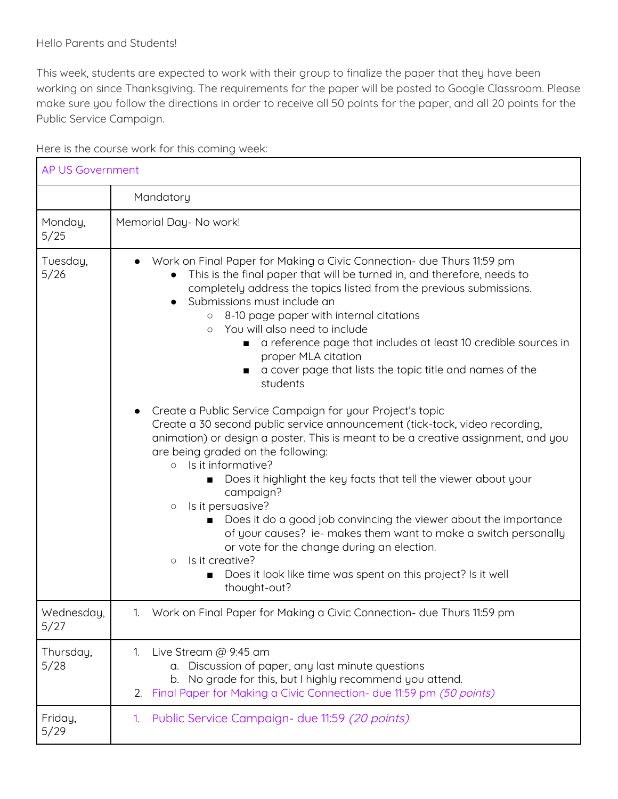This week, students are expected to work with their group to finalize the paper that they have been working on since Thanksgiving. The requirements for the paper will be posted to Google Classroom. Please make sure you follow the directions in order to receive all 50 points for the paper, and all 20 points for the Public Service Campaign.

| <b>AP US Government</b> |                                                                                                                                                                                                                                                                                                                                                                                                                                                                                                                                                                                                                                                                                                                              |  |
|-------------------------|------------------------------------------------------------------------------------------------------------------------------------------------------------------------------------------------------------------------------------------------------------------------------------------------------------------------------------------------------------------------------------------------------------------------------------------------------------------------------------------------------------------------------------------------------------------------------------------------------------------------------------------------------------------------------------------------------------------------------|--|
|                         | Mandatory                                                                                                                                                                                                                                                                                                                                                                                                                                                                                                                                                                                                                                                                                                                    |  |
| Monday,<br>5/25         | Memorial Day- No work!                                                                                                                                                                                                                                                                                                                                                                                                                                                                                                                                                                                                                                                                                                       |  |
| Tuesday,<br>5/26        | Work on Final Paper for Making a Civic Connection- due Thurs 11:59 pm<br>This is the final paper that will be turned in, and therefore, needs to<br>completely address the topics listed from the previous submissions.<br>Submissions must include an<br>8-10 page paper with internal citations<br>$\circ$<br>You will also need to include<br>$\circ$<br>a reference page that includes at least 10 credible sources in<br>п<br>proper MLA citation<br>a cover page that lists the topic title and names of the<br>students                                                                                                                                                                                               |  |
|                         | Create a Public Service Campaign for your Project's topic<br>Create a 30 second public service announcement (tick-tock, video recording,<br>animation) or design a poster. This is meant to be a creative assignment, and you<br>are being graded on the following:<br>Is it informative?<br>$\circ$<br>Does it highlight the key facts that tell the viewer about your<br>campaign?<br>Is it persuasive?<br>$\circ$<br>Does it do a good job convincing the viewer about the importance<br>of your causes? ie- makes them want to make a switch personally<br>or vote for the change during an election.<br>Is it creative?<br>$\circ$<br>Does it look like time was spent on this project? Is it well<br>■<br>thought-out? |  |
| Wednesday,<br>5/27      | 1. Work on Final Paper for Making a Civic Connection- due Thurs 11:59 pm                                                                                                                                                                                                                                                                                                                                                                                                                                                                                                                                                                                                                                                     |  |
| Thursday,<br>5/28       | Live Stream @ 9:45 am<br>1.<br>a. Discussion of paper, any last minute questions<br>b. No grade for this, but I highly recommend you attend.<br>2. Final Paper for Making a Civic Connection- due 11:59 pm (50 points)                                                                                                                                                                                                                                                                                                                                                                                                                                                                                                       |  |
| Friday,<br>5/29         | Public Service Campaign- due 11:59 (20 points)<br>1.                                                                                                                                                                                                                                                                                                                                                                                                                                                                                                                                                                                                                                                                         |  |

Here is the course work for this coming week: